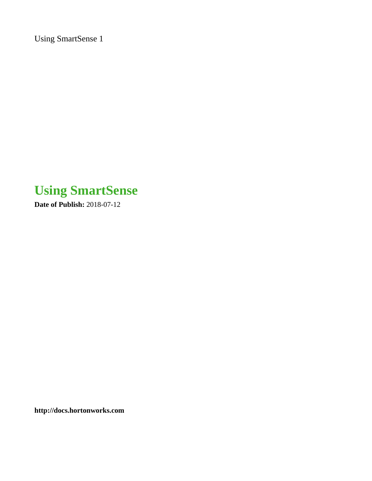Using SmartSense 1

# **Using SmartSense**

**Date of Publish:** 2018-07-12

**<http://docs.hortonworks.com>**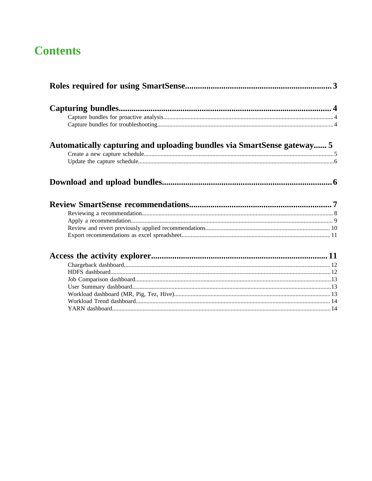## **Contents**

| Automatically capturing and uploading bundles via SmartSense gateway 5 |  |
|------------------------------------------------------------------------|--|
|                                                                        |  |
|                                                                        |  |
|                                                                        |  |
|                                                                        |  |
|                                                                        |  |
|                                                                        |  |
|                                                                        |  |
|                                                                        |  |
|                                                                        |  |
|                                                                        |  |
|                                                                        |  |
|                                                                        |  |
|                                                                        |  |
|                                                                        |  |
|                                                                        |  |
|                                                                        |  |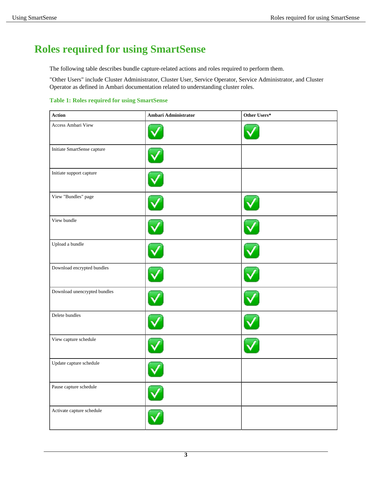## <span id="page-2-0"></span>**Roles required for using SmartSense**

The following table describes bundle capture-related actions and roles required to perform them.

"Other Users" include Cluster Administrator, Cluster User, Service Operator, Service Administrator, and Cluster Operator as defined in Ambari documentation related to understanding cluster roles.

#### **Table 1: Roles required for using SmartSense**

| Action                       | Ambari Administrator | Other Users* |
|------------------------------|----------------------|--------------|
| Access Ambari View           |                      |              |
| Initiate SmartSense capture  |                      |              |
| Initiate support capture     |                      |              |
| View "Bundles" page          |                      |              |
| View bundle                  |                      |              |
| Upload a bundle              |                      |              |
| Download encrypted bundles   |                      |              |
| Download unencrypted bundles |                      |              |
| Delete bundles               |                      |              |
| View capture schedule        |                      |              |
| Update capture schedule      |                      |              |
| Pause capture schedule       |                      |              |
| Activate capture schedule    |                      |              |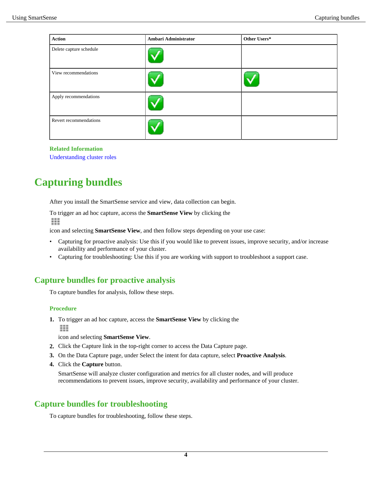| Action                  | Ambari Administrator | Other Users* |
|-------------------------|----------------------|--------------|
| Delete capture schedule |                      |              |
| View recommendations    |                      |              |
| Apply recommendations   |                      |              |
| Revert recommendations  |                      |              |

#### **Related Information**

[Understanding cluster roles](https://docs.hortonworks.com/HDPDocuments/Ambari-2.7.0.0/administering-ambari/content/amb_understanding_cluster_roles.html)

## <span id="page-3-0"></span>**Capturing bundles**

After you install the SmartSense service and view, data collection can begin.

To trigger an ad hoc capture, access the **SmartSense View** by clicking the ш

icon and selecting **SmartSense View**, and then follow steps depending on your use case:

- Capturing for proactive analysis: Use this if you would like to prevent issues, improve security, and/or increase availability and performance of your cluster.
- Capturing for troubleshooting: Use this if you are working with support to troubleshoot a support case.

### <span id="page-3-1"></span>**Capture bundles for proactive analysis**

To capture bundles for analysis, follow these steps.

#### **Procedure**

**1.** To trigger an ad hoc capture, access the **SmartSense View** by clicking the m

icon and selecting **SmartSense View**.

- **2.** Click the Capture link in the top-right corner to access the Data Capture page.
- **3.** On the Data Capture page, under Select the intent for data capture, select **Proactive Analysis**.
- **4.** Click the **Capture** button.

SmartSense will analyze cluster configuration and metrics for all cluster nodes, and will produce recommendations to prevent issues, improve security, availability and performance of your cluster.

### <span id="page-3-2"></span>**Capture bundles for troubleshooting**

To capture bundles for troubleshooting, follow these steps.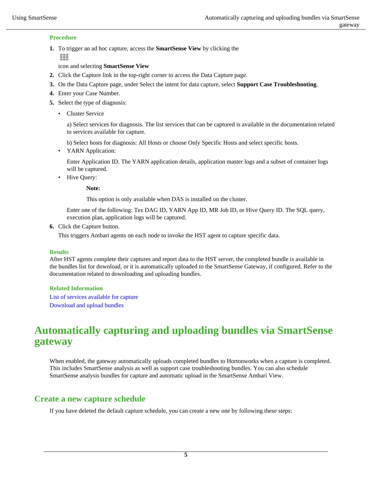### **Procedure**

**1.** To trigger an ad hoc capture, access the **SmartSense View** by clicking the ш

icon and selecting **SmartSense View**

- **2.** Click the Capture link in the top-right corner to access the Data Capture page.
- **3.** On the Data Capture page, under Select the intent for data capture, select **Support Case Troubleshooting**.
- **4.** Enter your Case Number.
- **5.** Select the type of diagnosis:
	- Cluster Service

a) Select services for diagnosis. The list services that can be captured is available in the documentation related to services available for capture.

b) Select hosts for diagnosis: All Hosts or choose Only Specific Hosts and select specific hosts.

• YARN Application:

Enter Application ID. The YARN application details, application master logs and a subset of container logs will be captured.

• Hive Query:

**Note:**

This option is only available when DAS is installed on the cluster.

Enter one of the following: Tez DAG ID, YARN App ID, MR Job ID, or Hive Query ID. The SQL query, execution plan, application logs will be captured.

**6.** Click the Capture button.

This triggers Ambari agents on each node to invoke the HST agent to capture specific data.

#### **Results**

After HST agents complete their captures and report data to the HST server, the completed bundle is available in the bundles list for download, or it is automatically uploaded to the SmartSense Gateway, if configured. Refer to the documentation related to downloading and uploading bundles.

#### **Related Information**

[List of services available for capture](https://docs.hortonworks.com/HDPDocuments/SS1/SmartSense-1.5.0/introduction/content/ss_services_available_for_capture.html) [Download and upload bundles](#page-5-1)

## <span id="page-4-0"></span>**Automatically capturing and uploading bundles via SmartSense gateway**

When enabled, the gateway automatically uploads completed bundles to Hortonworks when a capture is completed. This includes SmartSense analysis as well as support case troubleshooting bundles. You can also schedule SmartSense analysis bundles for capture and automatic upload in the SmartSense Ambari View.

### <span id="page-4-1"></span>**Create a new capture schedule**

If you have deleted the default capture schedule, you can create a new one by following these steps: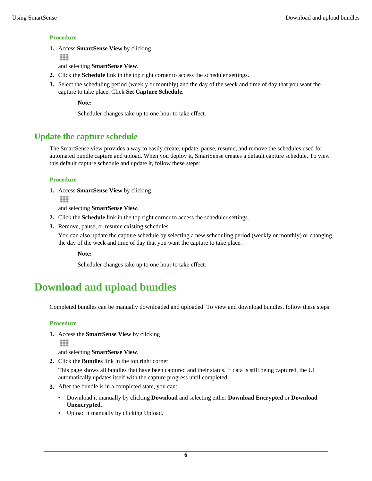### **Procedure**

**1.** Access **SmartSense View** by clicking

ш

and selecting **SmartSense View**.

- **2.** Click the **Schedule** link in the top right corner to access the scheduler settings.
- **3.** Select the scheduling period (weekly or monthly) and the day of the week and time of day that you want the capture to take place. Click **Set Capture Schedule**.

**Note:**

Scheduler changes take up to one hour to take effect.

### <span id="page-5-0"></span>**Update the capture schedule**

The SmartSense view provides a way to easily create, update, pause, resume, and remove the schedules used for automated bundle capture and upload. When you deploy it, SmartSense creates a default capture schedule. To view this default capture schedule and update it, follow these steps:

### **Procedure**

**1.** Access **SmartSense View** by clicking ш

and selecting **SmartSense View**.

- **2.** Click the **Schedule** link in the top right corner to access the scheduler settings.
- **3.** Remove, pause, or resume existing schedules.

You can also update the capture schedule by selecting a new scheduling period (weekly or monthly) or changing the day of the week and time of day that you want the capture to take place.

**Note:**

Scheduler changes take up to one hour to take effect.

## <span id="page-5-1"></span>**Download and upload bundles**

Completed bundles can be manually downloaded and uploaded. To view and download bundles, follow these steps:

### **Procedure**

**1.** Access the **SmartSense View** by clicking ш

and selecting **SmartSense View**.

**2.** Click the **Bundles** link in the top right corner.

This page shows all bundles that have been captured and their status. If data is still being captured, the UI automatically updates itself with the capture progress until completed.

- **3.** After the bundle is in a completed state, you can:
	- Download it manually by clicking **Download** and selecting either **Download Encrypted** or **Download Unencrypted**.
	- Upload it manually by clicking Upload.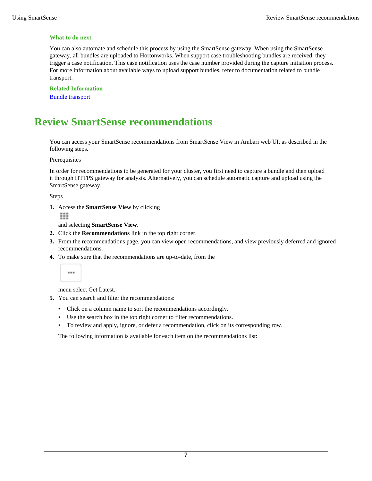#### **What to do next**

You can also automate and schedule this process by using the SmartSense gateway. When using the SmartSense gateway, all bundles are uploaded to Hortonworks. When support case troubleshooting bundles are received, they trigger a case notification. This case notification uses the case number provided during the capture initiation process. For more information about available ways to upload support bundles, refer to documentation related to bundle transport.

**Related Information** Bundle transport

## <span id="page-6-0"></span>**Review SmartSense recommendations**

You can access your SmartSense recommendations from SmartSense View in Ambari web UI, as described in the following steps.

Prerequisites

In order for recommendations to be generated for your cluster, you first need to capture a bundle and then upload it through HTTPS gateway for analysis. Alternatively, you can schedule automatic capture and upload using the SmartSense gateway.

Steps

**1.** Access the **SmartSense View** by clicking

m

and selecting **SmartSense View**.

- **2.** Click the **Recommendations** link in the top right corner.
- **3.** From the recommendations page, you can view open recommendations, and view previously deferred and ignored recommendations.
- **4.** To make sure that the recommendations are up-to-date, from the



menu select Get Latest.

- **5.** You can search and filter the recommendations:
	- Click on a column name to sort the recommendations accordingly.
	- Use the search box in the top right corner to filter recommendations.
	- To review and apply, ignore, or defer a recommendation, click on its corresponding row.

The following information is available for each item on the recommendations list: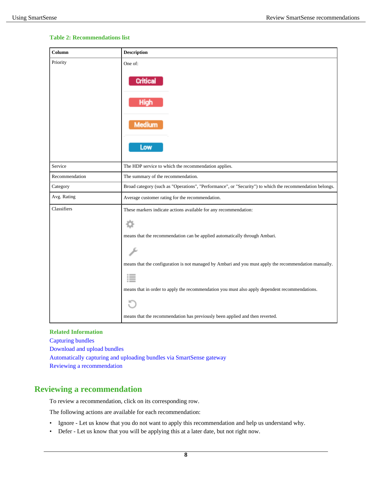### **Table 2: Recommendations list**

| Column         | <b>Description</b>                                                                                       |
|----------------|----------------------------------------------------------------------------------------------------------|
| Priority       | One of:                                                                                                  |
|                | Critica                                                                                                  |
|                | High                                                                                                     |
|                | Medium                                                                                                   |
|                | Low                                                                                                      |
| Service        | The HDP service to which the recommendation applies.                                                     |
| Recommendation | The summary of the recommendation.                                                                       |
| Category       | Broad category (such as "Operations", "Performance", or "Security") to which the recommendation belongs. |
| Avg. Rating    | Average customer rating for the recommendation.                                                          |
| Classifiers    | These markers indicate actions available for any recommendation:                                         |
|                |                                                                                                          |
|                | means that the recommendation can be applied automatically through Ambari.                               |
|                |                                                                                                          |
|                | means that the configuration is not managed by Ambari and you must apply the recommendation manually.    |
|                |                                                                                                          |
|                | means that in order to apply the recommendation you must also apply dependent recommendations.           |
|                |                                                                                                          |
|                | means that the recommendation has previously been applied and then reverted.                             |

#### **Related Information**

[Capturing bundles](#page-3-0) [Download and upload bundles](#page-5-1) [Automatically capturing and uploading bundles via SmartSense gateway](#page-4-0) [Reviewing a recommendation](#page-7-0)

### <span id="page-7-0"></span>**Reviewing a recommendation**

To review a recommendation, click on its corresponding row.

The following actions are available for each recommendation:

- Ignore Let us know that you do not want to apply this recommendation and help us understand why.
- Defer Let us know that you will be applying this at a later date, but not right now.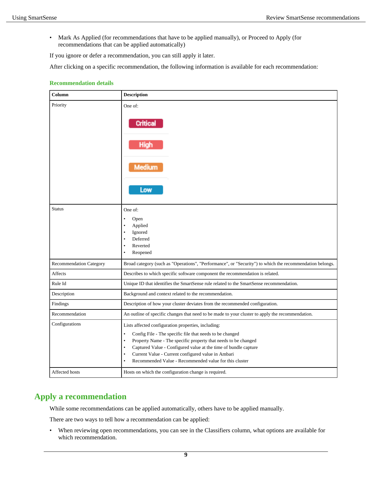• Mark As Applied (for recommendations that have to be applied manually), or Proceed to Apply (for recommendations that can be applied automatically)

If you ignore or defer a recommendation, you can still apply it later.

After clicking on a specific recommendation, the following information is available for each recommendation:

#### **Recommendation details**

| Column                         | <b>Description</b>                                                                                                                                                                                                                                                                                                                                                                                          |
|--------------------------------|-------------------------------------------------------------------------------------------------------------------------------------------------------------------------------------------------------------------------------------------------------------------------------------------------------------------------------------------------------------------------------------------------------------|
| Priority                       | One of:<br><b>Critical</b><br>High<br>Medium<br>Low                                                                                                                                                                                                                                                                                                                                                         |
| <b>Status</b>                  | One of:<br>$\bullet$<br>Open<br>Applied<br>٠<br>Ignored<br>Deferred<br>Reverted<br>$\bullet$<br>Reopened<br>$\bullet$                                                                                                                                                                                                                                                                                       |
| <b>Recommendation Category</b> | Broad category (such as "Operations", "Performance", or "Security") to which the recommendation belongs.                                                                                                                                                                                                                                                                                                    |
| Affects                        | Describes to which specific software component the recommendation is related.                                                                                                                                                                                                                                                                                                                               |
| Rule Id                        | Unique ID that identifies the SmartSense rule related to the SmartSense recommendation.                                                                                                                                                                                                                                                                                                                     |
| Description                    | Background and context related to the recommendation.                                                                                                                                                                                                                                                                                                                                                       |
| Findings                       | Description of how your cluster deviates from the recommended configuration.                                                                                                                                                                                                                                                                                                                                |
| Recommendation                 | An outline of specific changes that need to be made to your cluster to apply the recommendation.                                                                                                                                                                                                                                                                                                            |
| Configurations                 | Lists affected configuration properties, including:<br>Config File - The specific file that needs to be changed<br>$\bullet$<br>Property Name - The specific property that needs to be changed<br>Captured Value - Configured value at the time of bundle capture<br>Current Value - Current configured value in Ambari<br>$\bullet$<br>Recommended Value - Recommended value for this cluster<br>$\bullet$ |
| Affected hosts                 | Hosts on which the configuration change is required.                                                                                                                                                                                                                                                                                                                                                        |

### <span id="page-8-0"></span>**Apply a recommendation**

While some recommendations can be applied automatically, others have to be applied manually.

There are two ways to tell how a recommendation can be applied:

• When reviewing open recommendations, you can see in the Classifiers column, what options are available for which recommendation.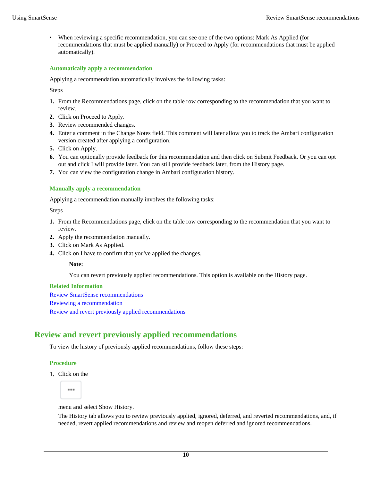When reviewing a specific recommendation, you can see one of the two options: Mark As Applied (for recommendations that must be applied manually) or Proceed to Apply (for recommendations that must be applied automatically).

#### **Automatically apply a recommendation**

Applying a recommendation automatically involves the following tasks:

Steps

- **1.** From the Recommendations page, click on the table row corresponding to the recommendation that you want to review.
- **2.** Click on Proceed to Apply.
- **3.** Review recommended changes.
- **4.** Enter a comment in the Change Notes field. This comment will later allow you to track the Ambari configuration version created after applying a configuration.
- **5.** Click on Apply.
- **6.** You can optionally provide feedback for this recommendation and then click on Submit Feedback. Or you can opt out and click I will provide later. You can still provide feedback later, from the History page.
- **7.** You can view the configuration change in Ambari configuration history.

### **Manually apply a recommendation**

Applying a recommendation manually involves the following tasks:

Steps

- **1.** From the Recommendations page, click on the table row corresponding to the recommendation that you want to review.
- **2.** Apply the recommendation manually.
- **3.** Click on Mark As Applied.
- **4.** Click on I have to confirm that you've applied the changes.

#### **Note:**

You can revert previously applied recommendations. This option is available on the History page.

#### **Related Information**

[Review SmartSense recommendations](#page-6-0) [Reviewing a recommendation](#page-7-0) [Review and revert previously applied recommendations](#page-9-0)

### <span id="page-9-0"></span>**Review and revert previously applied recommendations**

To view the history of previously applied recommendations, follow these steps:

#### **Procedure**

**1.** Click on the



menu and select Show History.

The History tab allows you to review previously applied, ignored, deferred, and reverted recommendations, and, if needed, revert applied recommendations and review and reopen deferred and ignored recommendations.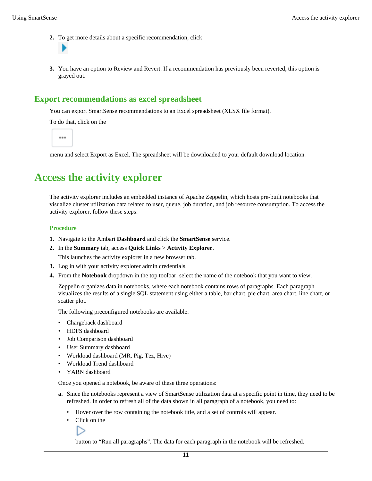- **2.** To get more details about a specific recommendation, click
- . **3.** You have an option to Review and Revert. If a recommendation has previously been reverted, this option is grayed out.

### <span id="page-10-0"></span>**Export recommendations as excel spreadsheet**

You can export SmartSense recommendations to an Excel spreadsheet (XLSX file format).

To do that, click on the

...

menu and select Export as Excel. The spreadsheet will be downloaded to your default download location.

## <span id="page-10-1"></span>**Access the activity explorer**

The activity explorer includes an embedded instance of Apache Zeppelin, which hosts pre-built notebooks that visualize cluster utilization data related to user, queue, job duration, and job resource consumption. To access the activity explorer, follow these steps:

#### **Procedure**

- **1.** Navigate to the Ambari **Dashboard** and click the **SmartSense** service.
- **2.** In the **Summary** tab, access **Quick Links** > **Activity Explorer**.

This launches the activity explorer in a new browser tab.

- **3.** Log in with your activity explorer admin credentials.
- **4.** From the **Notebook** dropdown in the top toolbar, select the name of the notebook that you want to view.

Zeppelin organizes data in notebooks, where each notebook contains rows of paragraphs. Each paragraph visualizes the results of a single SQL statement using either a table, bar chart, pie chart, area chart, line chart, or scatter plot.

The following preconfigured notebooks are available:

- Chargeback dashboard
- HDFS dashboard
- Job Comparison dashboard
- User Summary dashboard
- Workload dashboard (MR, Pig, Tez, Hive)
- Workload Trend dashboard
- YARN dashboard

Once you opened a notebook, be aware of these three operations:

- **a.** Since the notebooks represent a view of SmartSense utilization data at a specific point in time, they need to be refreshed. In order to refresh all of the data shown in all paragraph of a notebook, you need to:
	- Hover over the row containing the notebook title, and a set of controls will appear.
	- Click on the

button to "Run all paragraphs". The data for each paragraph in the notebook will be refreshed.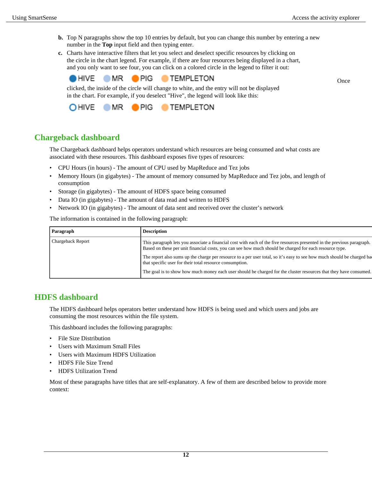**Once** 

- **b.** Top N paragraphs show the top 10 entries by default, but you can change this number by entering a new number in the **Top** input field and then typing enter.
- **c.** Charts have interactive filters that let you select and deselect specific resources by clicking on the circle in the chart legend. For example, if there are four resources being displayed in a chart, and you only want to see four, you can click on a colored circle in the legend to filter it out:



clicked, the inside of the circle will change to white, and the entry will not be displayed in the chart. For example, if you deselect "Hive", the legend will look like this:



### <span id="page-11-0"></span>**Chargeback dashboard**

The Chargeback dashboard helps operators understand which resources are being consumed and what costs are associated with these resources. This dashboard exposes five types of resources:

- CPU Hours (in hours) The amount of CPU used by MapReduce and Tez jobs
- Memory Hours (in gigabytes) The amount of memory consumed by MapReduce and Tez jobs, and length of consumption
- Storage (in gigabytes) The amount of HDFS space being consumed
- Data IO (in gigabytes) The amount of data read and written to HDFS
- Network IO (in gigabytes) The amount of data sent and received over the cluster's network

The information is contained in the following paragraph:

| Paragraph         | <b>Description</b>                                                                                                                                                                                                                 |
|-------------------|------------------------------------------------------------------------------------------------------------------------------------------------------------------------------------------------------------------------------------|
| Chargeback Report | This paragraph lets you associate a financial cost with each of the five resources presented in the previous paragraph.<br>Based on these per unit financial costs, you can see how much should be charged for each resource type. |
|                   | The report also sums up the charge per resource to a per user total, so it's easy to see how much should be charged ba<br>that specific user for their total resource consumption.                                                 |
|                   | The goal is to show how much money each user should be charged for the cluster resources that they have consumed.                                                                                                                  |

### <span id="page-11-1"></span>**HDFS dashboard**

The HDFS dashboard helps operators better understand how HDFS is being used and which users and jobs are consuming the most resources within the file system.

This dashboard includes the following paragraphs:

- File Size Distribution
- Users with Maximum Small Files
- Users with Maximum HDFS Utilization
- HDFS File Size Trend
- HDFS Utilization Trend

Most of these paragraphs have titles that are self-explanatory. A few of them are described below to provide more context: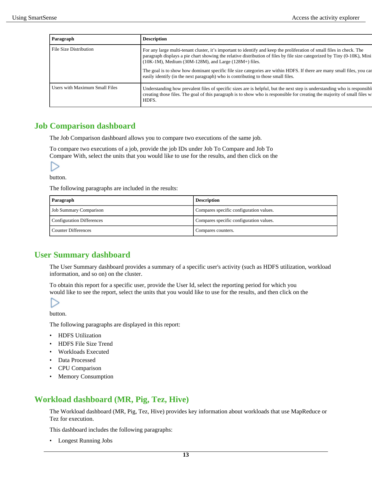| Paragraph                      | <b>Description</b>                                                                                                                                                                                                                                                                                                                                                                                                                                                                                                                 |
|--------------------------------|------------------------------------------------------------------------------------------------------------------------------------------------------------------------------------------------------------------------------------------------------------------------------------------------------------------------------------------------------------------------------------------------------------------------------------------------------------------------------------------------------------------------------------|
| File Size Distribution         | For any large multi-tenant cluster, it's important to identify and keep the proliferation of small files in check. The<br>paragraph displays a pie chart showing the relative distribution of files by file size categorized by Tiny (0-10K), Mini<br>$(10K-1M)$ , Medium $(30M-128M)$ , and Large $(128M+)$ files.<br>The goal is to show how dominant specific file size categories are within HDFS. If there are many small files, you can<br>easily identify (in the next paragraph) who is contributing to those small files. |
| Users with Maximum Small Files | Understanding how prevalent files of specific sizes are is helpful, but the next step is understanding who is responsible<br>creating those files. The goal of this paragraph is to show who is responsible for creating the majority of small files w<br>HDFS.                                                                                                                                                                                                                                                                    |

### <span id="page-12-0"></span>**Job Comparison dashboard**

The Job Comparison dashboard allows you to compare two executions of the same job.

To compare two executions of a job, provide the job IDs under Job To Compare and Job To Compare With, select the units that you would like to use for the results, and then click on the

button.

The following paragraphs are included in the results:

| Paragraph                  | <b>Description</b>                      |
|----------------------------|-----------------------------------------|
| Job Summary Comparison     | Compares specific configuration values. |
| Configuration Differences  | Compares specific configuration values. |
| <b>Counter Differences</b> | Compares counters.                      |

### <span id="page-12-1"></span>**User Summary dashboard**

The User Summary dashboard provides a summary of a specific user's activity (such as HDFS utilization, workload information, and so on) on the cluster.

To obtain this report for a specific user, provide the User Id, select the reporting period for which you would like to see the report, select the units that you would like to use for the results, and then click on the

button.

The following paragraphs are displayed in this report:

- HDFS Utilization
- HDFS File Size Trend
- Workloads Executed
- Data Processed
- CPU Comparison
- Memory Consumption

### <span id="page-12-2"></span>**Workload dashboard (MR, Pig, Tez, Hive)**

The Workload dashboard (MR, Pig, Tez, Hive) provides key information about workloads that use MapReduce or Tez for execution.

This dashboard includes the following paragraphs:

• Longest Running Jobs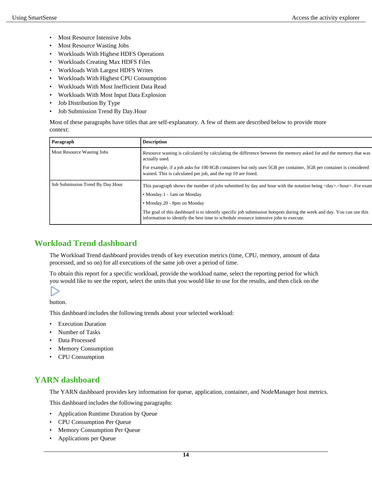- Most Resource Intensive Jobs
- Most Resource Wasting Jobs
- Workloads With Highest HDFS Operations
- Workloads Creating Max HDFS Files
- Workloads With Largest HDFS Writes
- Workloads With Highest CPU Consumption
- Workloads With Most Inefficient Data Read
- Workloads With Most Input Data Explosion
- Job Distribution By Type
- Job Submission Trend By Day.Hour

Most of these paragraphs have titles that are self-explanatory. A few of them are described below to provide more context:

| Paragraph                        | <b>Description</b>                                                                                                                                                                                            |
|----------------------------------|---------------------------------------------------------------------------------------------------------------------------------------------------------------------------------------------------------------|
| Most Resource Wasting Jobs       | Resource wasting is calculated by calculating the difference between the memory asked for and the memory that was<br>actually used.                                                                           |
|                                  | For example, if a job asks for 100 8GB containers but only uses 5GB per container, 3GB per container is considered<br>wasted. This is calculated per job, and the top 10 are listed.                          |
| Job Submission Trend By Day.Hour | This paragraph shows the number of jobs submitted by day and hour with the notation being $\langle \text{day} \rangle$ . Abour >. For examples                                                                |
|                                  | • Monday.1 - 1am on Monday                                                                                                                                                                                    |
|                                  | • Monday.20 - 8pm on Monday                                                                                                                                                                                   |
|                                  | The goal of this dashboard is to identify specific job submission hotspots during the week and day. You can use this<br>information to identify the best time to schedule resource intensive jobs to execute. |

### <span id="page-13-0"></span>**Workload Trend dashboard**

The Workload Trend dashboard provides trends of key execution metrics (time, CPU, memory, amount of data processed, and so on) for all executions of the same job over a period of time.

To obtain this report for a specific workload, provide the workload name, select the reporting period for which you would like to see the report, select the units that you would like to use for the results, and then click on the

button.

This dashboard includes the following trends about your selected workload:

- **Execution Duration**
- Number of Tasks
- Data Processed
- Memory Consumption
- CPU Consumption

### <span id="page-13-1"></span>**YARN dashboard**

The YARN dashboard provides key information for queue, application, container, and NodeManager host metrics.

This dashboard includes the following paragraphs:

- Application Runtime Duration by Queue
- CPU Consumption Per Queue
- Memory Consumption Per Queue
- Applications per Queue